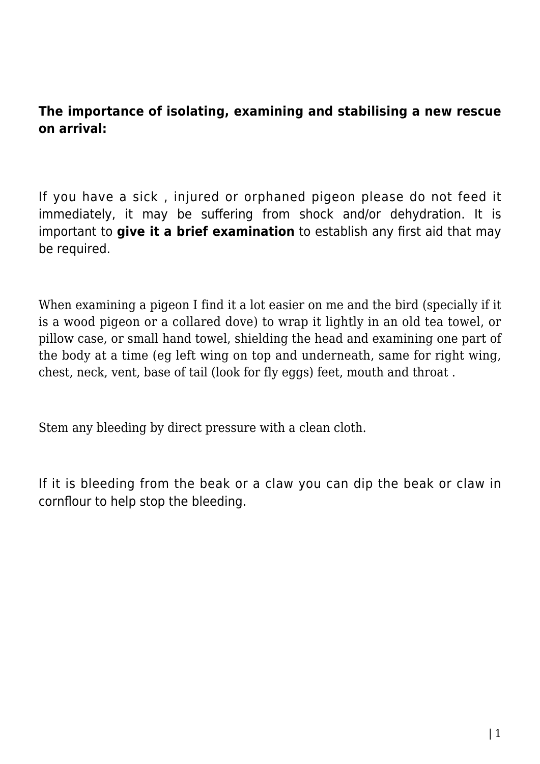## **The importance of isolating, examining and stabilising a new rescue on arrival:**

If you have a sick , injured or orphaned pigeon please do not feed it immediately, it may be suffering from shock and/or dehydration. It is important to **give it a brief examination** to establish any first aid that may be required.

When examining a pigeon I find it a lot easier on me and the bird (specially if it is a wood pigeon or a collared dove) to wrap it lightly in an old tea towel, or pillow case, or small hand towel, shielding the head and examining one part of the body at a time (eg left wing on top and underneath, same for right wing, chest, neck, vent, base of tail (look for fly eggs) feet, mouth and throat .

Stem any bleeding by direct pressure with a clean cloth.

If it is bleeding from the beak or a claw you can dip the beak or claw in cornflour to help stop the bleeding.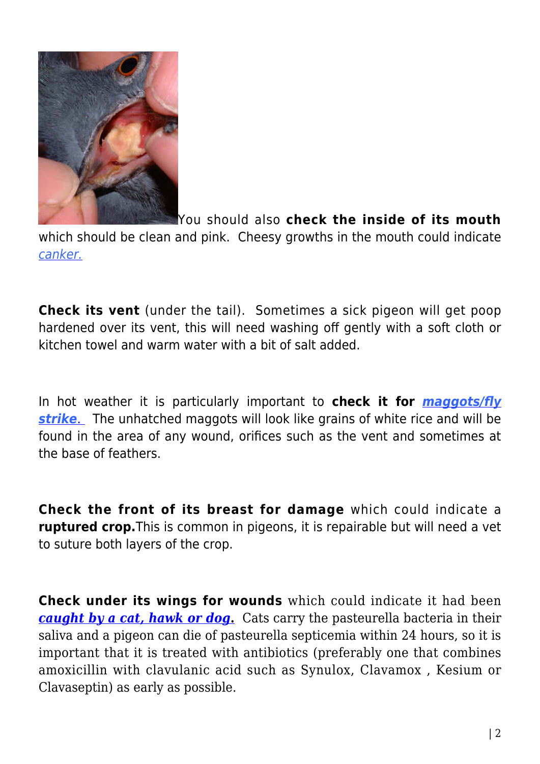

You should also **check the inside of its mouth**

which should be clean and pink. Cheesy growths in the mouth could indicate [canker.](http://www.pigeonrescue.sirtobyservices.com/commonailments-2/canker/)

**Check its vent** (under the tail). Sometimes a sick pigeon will get poop hardened over its vent, this will need washing off gently with a soft cloth or kitchen towel and warm water with a bit of salt added.

In hot weather it is particularly important to **check it for** *[maggots/fly](http://www.pigeonrescue.sirtobyservices.com/commonailments-2/flystrike/) [strike](http://www.pigeonrescue.sirtobyservices.com/commonailments-2/flystrike/)*[.](http://www.pigeonrescue.sirtobyservices.com/maggotsflystrike.html) The unhatched maggots will look like grains of white rice and will be found in the area of any wound, orifices such as the vent and sometimes at the base of feathers.

**Check the front of its breast for damage** which could indicate a **ruptured crop.**This is common in pigeons, it is repairable but will need a vet to suture both layers of the crop.

**Check under its wings for wounds** which could indicate it had been *[caught by a cat, hawk or dog](http://www.pigeonrescue.sirtobyservices.com/commonailments-2/predatedorshot/)***[.](http://www.pigeonrescue.sirtobyservices.com/commonailments-2/predatedorshot/)** Cats carry the pasteurella bacteria in their saliva and a pigeon can die of pasteurella septicemia within 24 hours, so it is important that it is treated with antibiotics (preferably one that combines amoxicillin with clavulanic acid such as Synulox, Clavamox , Kesium or Clavaseptin) as early as possible.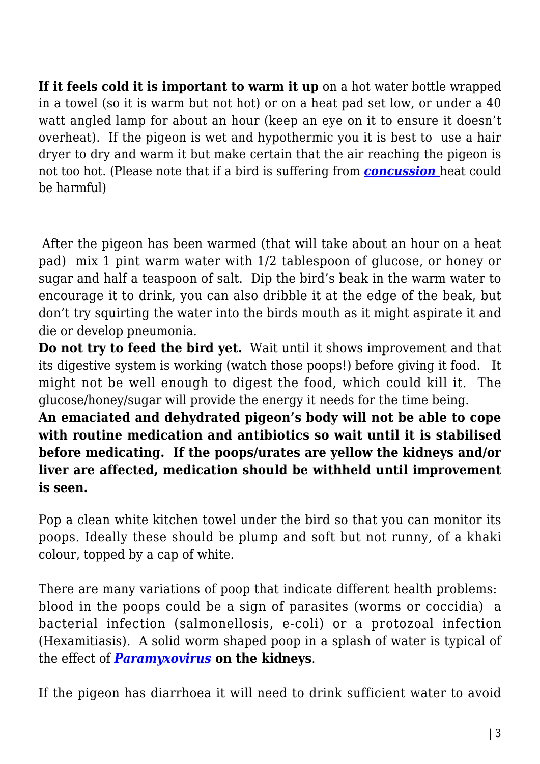**If it feels cold it is important to warm it up** on a hot water bottle wrapped in a towel (so it is warm but not hot) or on a heat pad set low, or under a 40 watt angled lamp for about an hour (keep an eye on it to ensure it doesn't overheat). If the pigeon is wet and hypothermic you it is best to use a hair dryer to dry and warm it but make certain that the air reaching the pigeon is not too hot. (Please note that if a bird is suffering from *[concussion](http://www.pigeonrescue.sirtobyservices.com/commonailments-2/concussion/)* heat could be harmful)

After the pigeon has been warmed (that will take about an hour on a heat pad) mix 1 pint warm water with 1/2 tablespoon of glucose, or honey or sugar and half a teaspoon of salt. Dip the bird's beak in the warm water to encourage it to drink, you can also dribble it at the edge of the beak, but don't try squirting the water into the birds mouth as it might aspirate it and die or develop pneumonia.

**Do not try to feed the bird yet.** Wait until it shows improvement and that its digestive system is working (watch those poops!) before giving it food. It might not be well enough to digest the food, which could kill it. The glucose/honey/sugar will provide the energy it needs for the time being.

**An emaciated and dehydrated pigeon's body will not be able to cope with routine medication and antibiotics so wait until it is stabilised before medicating. If the poops/urates are yellow the kidneys and/or liver are affected, medication should be withheld until improvement is seen.**

Pop a clean white kitchen towel under the bird so that you can monitor its poops. Ideally these should be plump and soft but not runny, of a khaki colour, topped by a cap of white.

There are many variations of poop that indicate different health problems: blood in the poops could be a sign of parasites (worms or coccidia) a bacterial infection (salmonellosis, e-coli) or a protozoal infection (Hexamitiasis). A solid worm shaped poop in a splash of water is typical of the effect of *[Paramyxovirus](http://www.pigeonrescue.sirtobyservices.com/commonailments-2/pigeonparamyxovirus/)* **[o](http://www.pigeonrescue.sirtobyservices.com/pigeonparamyxovirus.html)n the kidneys**.

If the pigeon has diarrhoea it will need to drink sufficient water to avoid